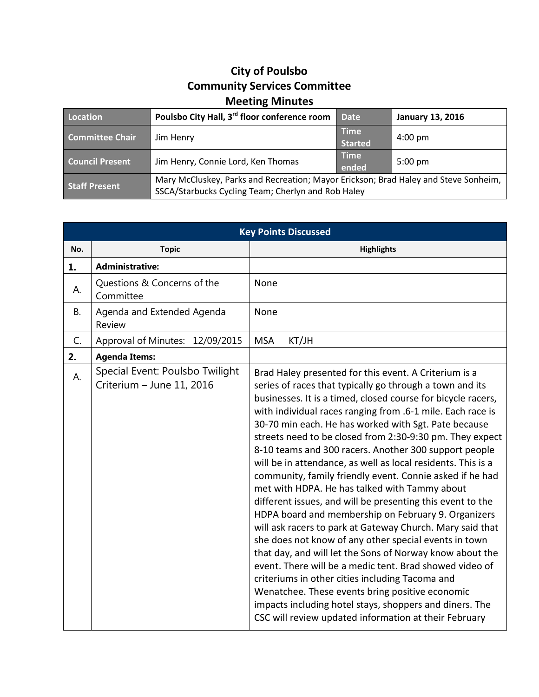## **City of Poulsbo Community Services Committee Meeting Minutes**

| Location               | Poulsbo City Hall, 3 <sup>rd</sup> floor conference room                                                                                  | <b>Date</b>                   | <b>January 13, 2016</b> |
|------------------------|-------------------------------------------------------------------------------------------------------------------------------------------|-------------------------------|-------------------------|
| <b>Committee Chair</b> | Jim Henry                                                                                                                                 | <b>Time</b><br><b>Started</b> | $4:00 \text{ pm}$       |
| <b>Council Present</b> | Jim Henry, Connie Lord, Ken Thomas                                                                                                        | <b>Time</b><br>ended          | $5:00$ pm               |
| <b>Staff Present</b>   | Mary McCluskey, Parks and Recreation; Mayor Erickson; Brad Haley and Steve Sonheim,<br>SSCA/Starbucks Cycling Team; Cherlyn and Rob Haley |                               |                         |

| <b>Key Points Discussed</b> |                                                              |                                                                                                                                                                                                                                                                                                                                                                                                                                                                                                                                                                                                                                                                                                                                                                                                                                                                                                                                                                                                                                                                                                                                                                                                       |  |  |
|-----------------------------|--------------------------------------------------------------|-------------------------------------------------------------------------------------------------------------------------------------------------------------------------------------------------------------------------------------------------------------------------------------------------------------------------------------------------------------------------------------------------------------------------------------------------------------------------------------------------------------------------------------------------------------------------------------------------------------------------------------------------------------------------------------------------------------------------------------------------------------------------------------------------------------------------------------------------------------------------------------------------------------------------------------------------------------------------------------------------------------------------------------------------------------------------------------------------------------------------------------------------------------------------------------------------------|--|--|
| No.                         | <b>Topic</b>                                                 | <b>Highlights</b>                                                                                                                                                                                                                                                                                                                                                                                                                                                                                                                                                                                                                                                                                                                                                                                                                                                                                                                                                                                                                                                                                                                                                                                     |  |  |
| 1.                          | <b>Administrative:</b>                                       |                                                                                                                                                                                                                                                                                                                                                                                                                                                                                                                                                                                                                                                                                                                                                                                                                                                                                                                                                                                                                                                                                                                                                                                                       |  |  |
| А.                          | Questions & Concerns of the<br>Committee                     | None                                                                                                                                                                                                                                                                                                                                                                                                                                                                                                                                                                                                                                                                                                                                                                                                                                                                                                                                                                                                                                                                                                                                                                                                  |  |  |
| <b>B.</b>                   | Agenda and Extended Agenda<br>Review                         | None                                                                                                                                                                                                                                                                                                                                                                                                                                                                                                                                                                                                                                                                                                                                                                                                                                                                                                                                                                                                                                                                                                                                                                                                  |  |  |
| C.                          | Approval of Minutes: 12/09/2015                              | <b>MSA</b><br>KT/JH                                                                                                                                                                                                                                                                                                                                                                                                                                                                                                                                                                                                                                                                                                                                                                                                                                                                                                                                                                                                                                                                                                                                                                                   |  |  |
| 2.                          | <b>Agenda Items:</b>                                         |                                                                                                                                                                                                                                                                                                                                                                                                                                                                                                                                                                                                                                                                                                                                                                                                                                                                                                                                                                                                                                                                                                                                                                                                       |  |  |
| А.                          | Special Event: Poulsbo Twilight<br>Criterium - June 11, 2016 | Brad Haley presented for this event. A Criterium is a<br>series of races that typically go through a town and its<br>businesses. It is a timed, closed course for bicycle racers,<br>with individual races ranging from .6-1 mile. Each race is<br>30-70 min each. He has worked with Sgt. Pate because<br>streets need to be closed from 2:30-9:30 pm. They expect<br>8-10 teams and 300 racers. Another 300 support people<br>will be in attendance, as well as local residents. This is a<br>community, family friendly event. Connie asked if he had<br>met with HDPA. He has talked with Tammy about<br>different issues, and will be presenting this event to the<br>HDPA board and membership on February 9. Organizers<br>will ask racers to park at Gateway Church. Mary said that<br>she does not know of any other special events in town<br>that day, and will let the Sons of Norway know about the<br>event. There will be a medic tent. Brad showed video of<br>criteriums in other cities including Tacoma and<br>Wenatchee. These events bring positive economic<br>impacts including hotel stays, shoppers and diners. The<br>CSC will review updated information at their February |  |  |